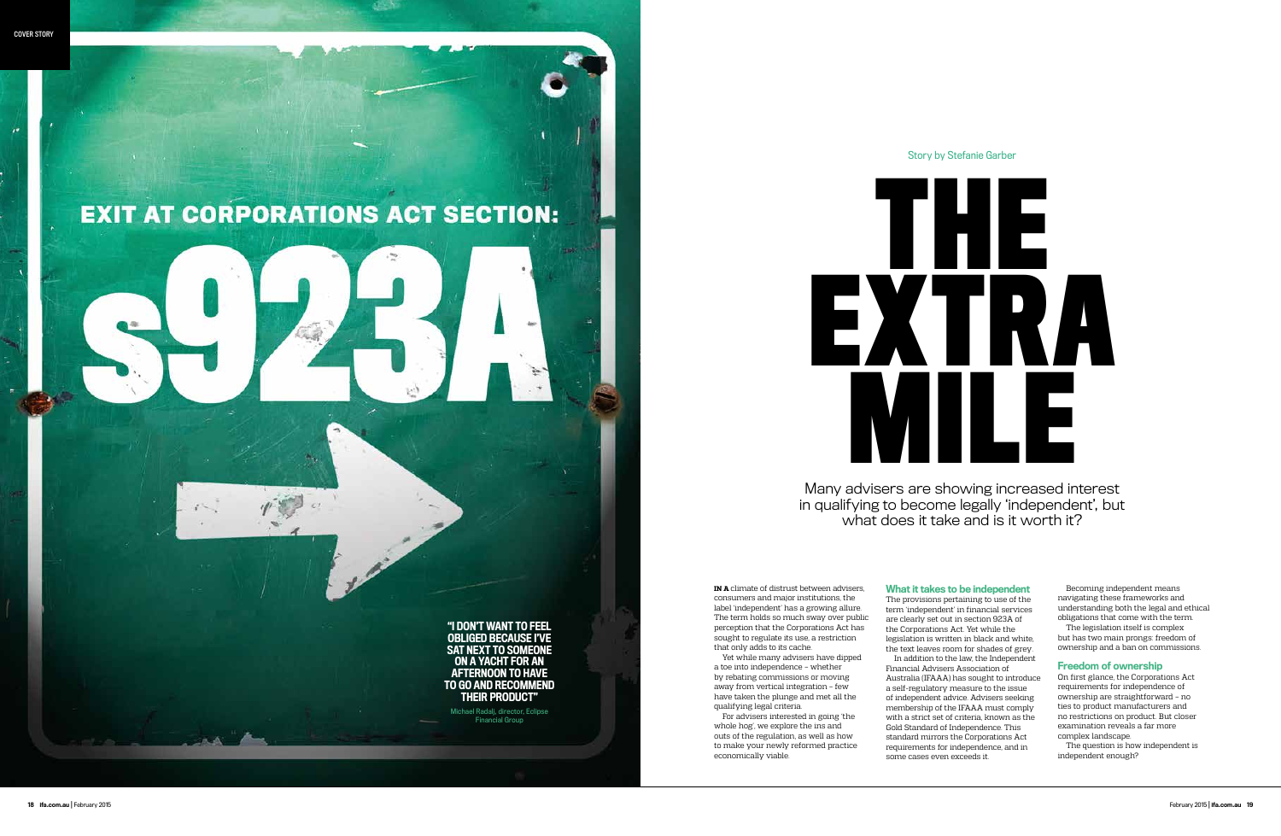Many advisers are showing increased interest in qualifying to become legally 'independent', but what does it take and is it worth it?

# Story by Stefanie Garber

**IN A** climate of distrust between advisers, consumers and major institutions, the label 'independent' has a growing allure. The term holds so much sway over public perception that the Corporations Act has sought to regulate its use, a restriction that only adds to its cache.

For advisers interested in going 'the whole hog', we explore the ins and outs of the regulation, as well as how to make your newly reformed practice economically viable.

Yet while many advisers have dipped a toe into independence – whether by rebating commissions or moving away from vertical integration – few have taken the plunge and met all the qualifying legal criteria.

# What it takes to be independent

The provisions pertaining to use of the term 'independent' in financial services are clearly set out in section 923A of the Corporations Act. Yet while the legislation is written in black and white, the text leaves room for shades of grey.

In addition to the law, the Independent Financial Advisers Association of Australia (IFAAA) has sought to introduce a self-regulatory measure to the issue of independent advice. Advisers seeking membership of the IFAAA must comply with a strict set of criteria, known as the Gold Standard of Independence. This standard mirrors the Corporations Act requirements for independence, and in some cases even exceeds it.

Becoming independent means navigating these frameworks and understanding both the legal and ethical obligations that come with the term.

The legislation itself is complex but has two main prongs: freedom of ownership and a ban on commissions.

### Freedom of ownership

On first glance, the Corporations Act requirements for independence of ownership are straightforward – no ties to product manufacturers and no restrictions on product. But closer examination reveals a far more complex landscape.

The question is how independent is independent enough?



# **EXIT AT CORPORATIONS ACT SECTION:**

"I DON'T WANT TO FEEL OBLIGED BECAUSE I'VE SAT NEXT TO SOMEONE ON A YACHT FOR AN AFTERNOON TO HAVE TO GO AND RECOMMEND THEIR PRODUCT"

Michael Radalj, director, Eclipse Financial Group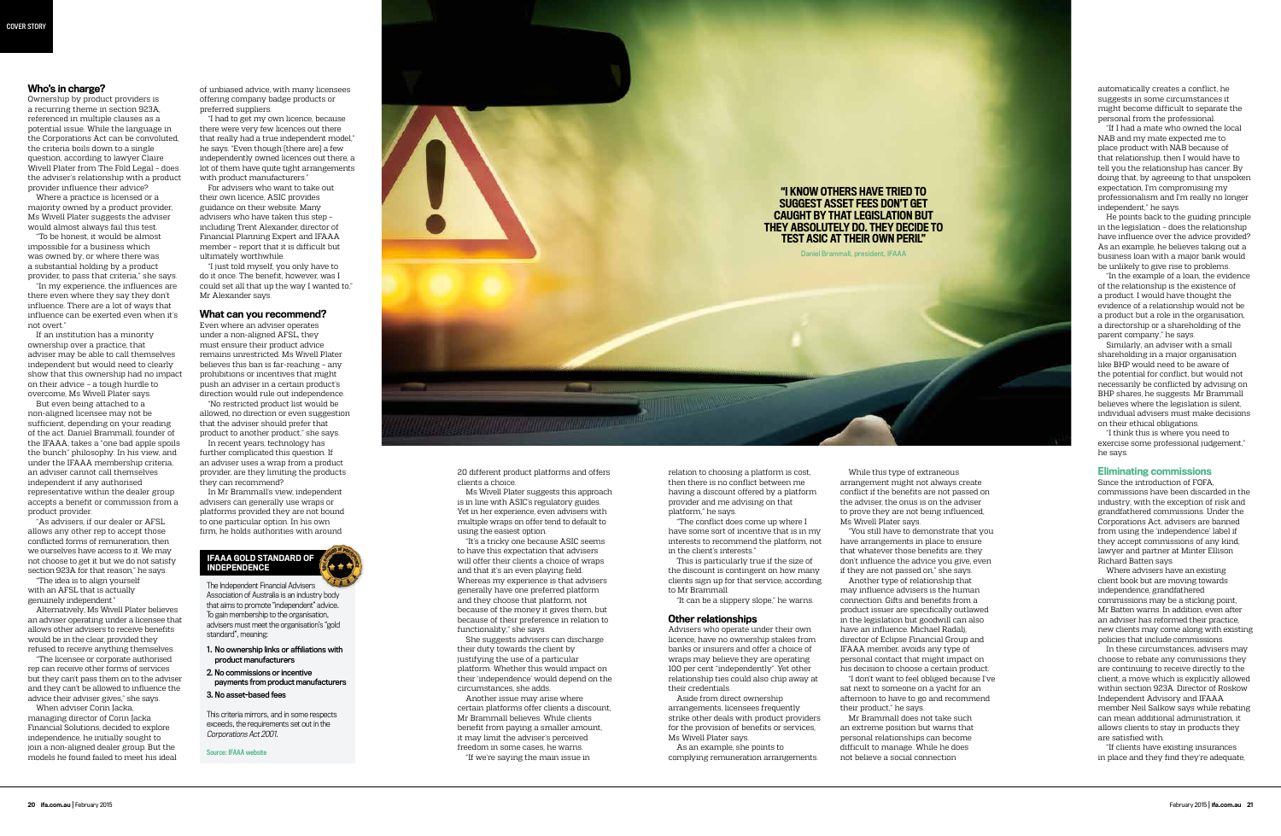of unbiased advice, with many licensees offering company badge products or preferred suppliers.

"I had to get my own licence, because there were very few licences out there that really had a true independent model," he says. "Even though [there are] a few independently owned licences out there, a lot of them have quite tight arrangements with product manufacturers."

For advisers who want to take out their own licence, ASIC provides guidance on their website. Many advisers who have taken this step – including Trent Alexander, director of Financial Planning Expert and IFAAA member – report that it is difficult but ultimately worthwhile.

"I just told myself, you only have to do it once. The benefit, however, was I could set all that up the way I wanted to," Mr Alexander says.

#### What can you recommend?

Even where an adviser operates under a non-aligned AFSL, they must ensure their product advice remains unrestricted. Ms Wivell Plater believes this ban is far-reaching – any prohibitions or incentives that might push an adviser in a certain product's direction would rule out independence.

"No restricted product list would be allowed, no direction or even suggestion that the adviser should prefer that product to another product," she says.

In recent years, technology has further complicated this question. If an adviser uses a wrap from a product provider, are they limiting the products they can recommend?

> "You still have to demonstrate that you have arrangements in place to ensure that whatever those benefits are, they don't influence the advice you give, even if they are not passed on," she says. Another type of relationship that may influence advisers is the human connection. Gifts and benefits from a product issuer are specifically outlawed in the legislation but goodwill can also have an influence. Michael Radalj, director of Eclipse Financial Group and IFAAA member, avoids any type of personal contact that might impact on his decision to choose a certain product. "I don't want to feel obliged because I've sat next to someone on a yacht for an afternoon to have to go and recommend their product," he says.

In Mr Brammall's view, independent advisers can generally use wraps or platforms provided they are not bound to one particular option. In his own firm, he holds authorities with around

20 different product platforms and offers clients a choice.

Ms Wivell Plater suggests this approach is in line with ASIC's regulatory guides. Yet in her experience, even advisers with multiple wraps on offer tend to default to using the easiest option.

"If I had a mate who owned the local NAB and my mate expected me to place product with NAB because of that relationship, then I would have to tell you the relationship has cancer. By doing that, by agreeing to that unspoken expectation, I'm compromising my professionalism and I'm really no longer independent" he says.

"It's a tricky one because ASIC seems to have this expectation that advisers will offer their clients a choice of wraps and that it's an even playing field. Whereas my experience is that advisers generally have one preferred platform and they choose that platform, not because of the money it gives them, but because of their preference in relation to functionality," she says.

She suggests advisers can discharge their duty towards the client by justifying the use of a particular platform. Whether this would impact on their 'independence' would depend on the circumstances, she adds.

Another issue may arise where certain platforms offer clients a discount, Mr Brammall believes. While clients benefit from paying a smaller amount, it may limit the adviser's perceived freedom in some cases, he warns.

"If we're saying the main issue in

While this type of extraneous arrangement might not always create conflict if the benefits are not passed on the adviser, the onus is on the adviser to prove they are not being influenced, Ms Wivell Plater says.

Mr Brammall does not take such

an extreme position but warns that personal relationships can become difficult to manage. While he does not believe a social connection

automatically creates a conflict, he suggests in some circumstances it might become difficult to separate the personal from the professional.

He points back to the guiding principle in the legislation – does the relationship have influence over the advice provided? As an example, he believes taking out a business loan with a major bank would be unlikely to give rise to problems.

"In the example of a loan, the evidence of the relationship is the existence of a product. I would have thought the evidence of a relationship would not be a product but a role in the organisation, a directorship or a shareholding of the parent company," he says.

Similarly, an adviser with a small shareholding in a major organisation like BHP would need to be aware of the potential for conflict, but would not necessarily be conflicted by advising on BHP shares, he suggests. Mr Brammall believes where the legislation is silent, individual advisers must make decisions on their ethical obligations.

"I think this is where you need to exercise some professional judgement," he says.

# Eliminating commissions

Since the introduction of FOFA, commissions have been discarded in the industry, with the exception of risk and grandfathered commissions. Under the Corporations Act, advisers are banned from using the 'independence' label if they accept commissions of any kind, lawyer and partner at Minter Ellison Richard Batten says.

Where advisers have an existing client book but are moving towards independence, grandfathered commissions may be a sticking point, Mr Batten warns. In addition, even after an adviser has reformed their practice, new clients may come along with existing policies that include commissions.

In these circumstances, advisers may choose to rebate any commissions they are continuing to receive directly to the client, a move which is explicitly allowed within section 923A. Director of Roskow Independent Advisory and IFAAA member Neil Salkow says while rebating can mean additional administration, it allows clients to stay in products they are satisfied with.

"If clients have existing insurances in place and they find they're adequate,

relation to choosing a platform is cost, then there is no conflict between me having a discount offered by a platform provider and me advising on that platform," he says.

"The conflict does come up where I have some sort of incentive that is in my interests to recommend the platform, not in the client's interests."

This is particularly true if the size of the discount is contingent on how many clients sign up for that service, according to Mr Brammall.

"It can be a slippery slope," he warns.

#### Other relationships

Advisers who operate under their own licence, have no ownership stakes from banks or insurers and offer a choice of wraps may believe they are operating 100 per cent "independently". Yet other relationship ties could also chip away at their credentials.

Aside from direct ownership arrangements, licensees frequently strike other deals with product providers for the provision of benefits or services, Ms Wivell Plater says.

As an example, she points to complying remuneration arrangements.

## Who's in charge?

Ownership by product providers is a recurring theme in section 923A, referenced in multiple clauses as a potential issue. While the language in the Corporations Act can be convoluted, the criteria boils down to a single question, according to lawyer Claire Wivell Plater from The Fold Legal – does the adviser's relationship with a product provider influence their advice?

Where a practice is licensed or a majority owned by a product provider, Ms Wivell Plater suggests the adviser would almost always fail this test.

"To be honest, it would be almost impossible for a business which was owned by, or where there was a substantial holding by a product provider, to pass that criteria," she says.

"In my experience, the influences are there even where they say they don't influence. There are a lot of ways that influence can be exerted even when it's not overt."

If an institution has a minority ownership over a practice, that adviser may be able to call themselves independent but would need to clearly show that this ownership had no impact on their advice – a tough hurdle to overcome, Ms Wivell Plater says.

But even being attached to a non-aligned licensee may not be sufficient, depending on your reading of the act. Daniel Brammall, founder of the IFAAA, takes a "one bad apple spoils the bunch" philosophy. In his view, and under the IFAAA membership criteria, an adviser cannot call themselves independent if any authorised representative within the dealer group accepts a benefit or commission from a product provider.

"As advisers, if our dealer or AFSL allows any other rep to accept those conflicted forms of remuneration, then we ourselves have access to it. We may not choose to get it but we do not satisfy section 923A for that reason," he says.

"The idea is to align yourself with an AFSL that is actually genuinely independent."

Alternatively, Ms Wivell Plater believes an adviser operating under a licensee that allows other advisers to receive benefits would be in the clear, provided they refused to receive anything themselves.

"The licensee or corporate authorised rep can receive other forms of services but they can't pass them on to the adviser and they can't be allowed to influence the advice their adviser gives," she says. When adviser Corin Jacka,

managing director of Corin Jacka Financial Solutions, decided to explore independence, he initially sought to join a non-aligned dealer group. But the models he found failed to meet his ideal



The Independent Financial Advisers Association of Australia is an industry body that aims to promote "independent" advice. To gain membership to the organisation, advisers must meet the organisation's "gold standard", meaning:

- 1. No ownership links or affiliations with product manufacturers
- 2. No commissions or incentive payments from product manufacturers

3. No asset-based fees

This criteria mirrors, and in some respects exceeds, the requirements set out in the Corporations Act 2001.

Source: IFAAA website

## IFAAA GOLD STANDARD OF INDEPENDENCE